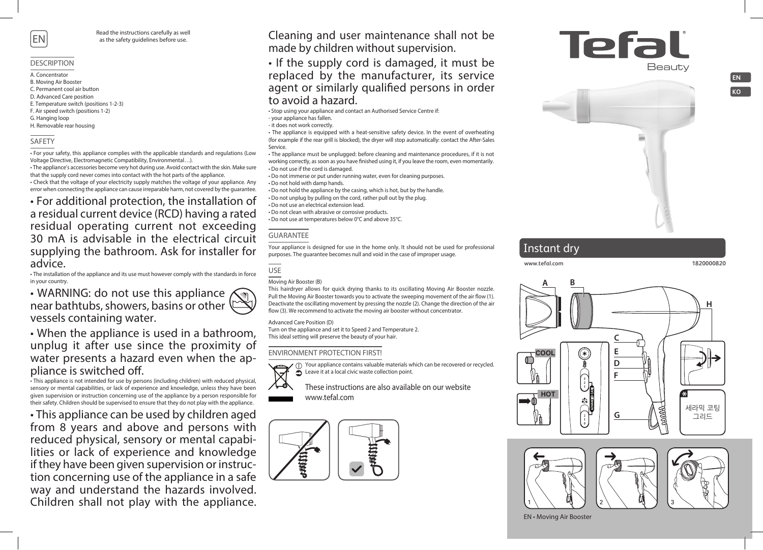

Read the instructions carefully as well as the safety guidelines before use.

#### DESCRIPTION

- A. Concentrator
- B. Moving Air Booster
- C. Permanent cool air button
- D. Advanced Care position
- E. Temperature switch (positions 1-2-3)
- F. Air speed switch (positions 1-2)
- G. Hanging loop
- H. Removable rear housing

### SAFETY

• For your safety, this appliance complies with the applicable standards and regulations (Low Voltage Directive, Electromagnetic Compatibility, Environmental…).

• The appliance's accessories become very hot during use. Avoid contact with the skin. Make sure that the supply cord never comes into contact with the hot parts of the appliance.

• Check that the voltage of your electricity supply matches the voltage of your appliance. Any error when connecting the appliance can cause irreparable harm, not covered by the guarantee.

• For additional protection, the installation of a residual current device (RCD) having a rated residual operating current not exceeding 30 mA is advisable in the electrical circuit supplying the bathroom. Ask for installer for advice.

• The installation of the appliance and its use must however comply with the standards in force in your country.

• WARNING: do not use this appliance near bathtubs, showers, basins or other  $\lvert \mathcal{C} \rvert$ vessels containing water.

• When the appliance is used in a bathroom, unplug it after use since the proximity of water presents a hazard even when the appliance is switched off.

• This appliance is not intended for use by persons (including children) with reduced physical, sensory or mental capabilities, or lack of experience and knowledge, unless they have been given supervision or instruction concerning use of the appliance by a person responsible for their safety. Children should be supervised to ensure that they do not play with the appliance.

• This appliance can be used by children aged from 8 years and above and persons with reduced physical, sensory or mental capabilities or lack of experience and knowledge if they have been given supervision or instruction concerning use of the appliance in a safe way and understand the hazards involved. Children shall not play with the appliance.

Cleaning and user maintenance shall not be made by children without supervision.

• If the supply cord is damaged, it must be replaced by the manufacturer, its service agent or similarly qualified persons in order to avoid a hazard.

• Stop using your appliance and contact an Authorised Service Centre if: - your appliance has fallen.

- it does not work correctly.

• The appliance is equipped with a heat-sensitive safety device. In the event of overheating (for example if the rear grill is blocked), the dryer will stop automatically: contact the After-Sales Service.

• The appliance must be unplugged: before cleaning and maintenance procedures, if it is not working correctly, as soon as you have finished using it, if you leave the room, even momentarily. • Do not use if the cord is damaged.

• Do not immerse or put under running water, even for cleaning purposes.

• Do not hold with damp hands.

• Do not hold the appliance by the casing, which is hot, but by the handle.

• Do not unplug by pulling on the cord, rather pull out by the plug.

• Do not use an electrical extension lead.

• Do not clean with abrasive or corrosive products.

• Do not use at temperatures below 0°C and above 35°C.

### GUARANTEE

Your appliance is designed for use in the home only. It should not be used for professional purposes. The guarantee becomes null and void in the case of improper usage.

USE

#### Moving Air Booster (B)

This hairdryer allows for quick drying thanks to its oscillating Moving Air Booster nozzle. Pull the Moving Air Booster towards you to activate the sweeping movement of the air flow (1). Deactivate the oscillating movement by pressing the nozzle (2). Change the direction of the air flow (3). We recommend to activate the moving air booster without concentrator.

#### Advanced Care Position (D)

Turn on the appliance and set it to Speed 2 and Temperature 2. This ideal setting will preserve the beauty of your hair.

### ENVIRONMENT PROTECTION FIRST!



(i) Your appliance contains valuable materials which can be recovered or recycled. Leave it at a local civic waste collection point.

These instructions are also available on our website www.tefal.com



Tefali



# Instant dry

#### **www.tefal.com 1820000820**

**EN KO**





EN • Moving Air Booster